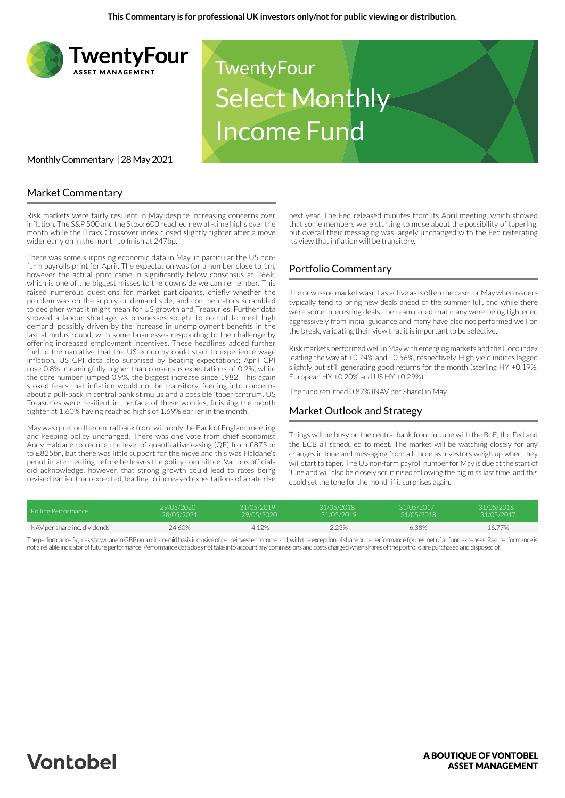

## Market Commentary

Risk markets were fairly resilient in May despite increasing concerns over inflation. The S&P 500 and the Stoxx 600 reached new all-time highs over the month while the iTraxx Crossover index closed slightly tighter after a move wider early on in the month to finish at 247bp.

There was some surprising economic data in May, in particular the US nonfarm payrolls print for April. The expectation was for a number close to 1m, however the actual print came in significantly below consensus at 266k, which is one of the biggest misses to the downside we can remember. This raised numerous questions for market participants, chiefly whether the problem was on the supply or demand side, and commentators scrambled to decipher what it might mean for US growth and Treasuries. Further data showed a labour shortage, as businesses sought to recruit to meet high demand, possibly driven by the increase in unemployment benefits in the last stimulus round, with some businesses responding to the challenge by offering increased employment incentives. These headlines added further fuel to the narrative that the US economy could start to experience wage inflation. US CPI data also surprised by beating expectations; April CPI rose 0.8%, meaningfully higher than consensus expectations of 0.2%, while the core number jumped 0.9%, the biggest increase since 1982. This again stoked fears that inflation would not be transitory, feeding into concerns about a pull-back in central bank stimulus and a possible 'taper tantrum'. US Treasuries were resilient in the face of these worries, finishing the month tighter at 1.60% having reached highs of 1.69% earlier in the month.

May was quiet on the central bank front with only the Bank of England meeting and keeping policy unchanged. There was one vote from chief economist Andy Haldane to reduce the level of quantitative easing (QE) from £875bn to £825bn, but there was little support for the move and this was Haldane's penultimate meeting before he leaves the policy committee. Various officials did acknowledge, however, that strong growth could lead to rates being revised earlier than expected, leading to increased expectations of a rate rise

next year. The Fed released minutes from its April meeting, which showed that some members were starting to muse about the possibility of tapering, but overall their messaging was largely unchanged with the Fed reiterating its view that inflation will be transitory.

# Portfolio Commentary

The new issue market wasn't as active as is often the case for May when issuers typically tend to bring new deals ahead of the summer lull, and while there were some interesting deals, the team noted that many were being tightened aggressively from initial guidance and many have also not performed well on the break, validating their view that it is important to be selective.

Risk markets performed well in May with emerging markets and the Coco index leading the way at +0.74% and +0.56%, respectively. High yield indices lagged slightly but still generating good returns for the month (sterling HY +0.19%, European HY +0.20% and US HY +0.29%).

The fund returned 0.87% (NAV per Share) in May.

### Market Outlook and Strategy

Things will be busy on the central bank front in June with the BoE, the Fed and the ECB all scheduled to meet. The market will be watching closely for any changes in tone and messaging from all three as investors weigh up when they will start to taper. The US non-farm payroll number for May is due at the start of June and will also be closely scrutinised following the big miss last time, and this could set the tone for the month if it surprises again.

| Rolling Performance          | 29/05/2020 - | $31/05/2019 -$ | $31/05/2018 -$ | $31/05/2017 -$ | 31/05/2016 |
|------------------------------|--------------|----------------|----------------|----------------|------------|
|                              | 28/05/2021   | 29/05/2020     | 31/05/2019     | 31/05/2018     | 31/05/2017 |
| NAV per share inc. dividends | 24.60%       | $-4.12%$       | 2.23%          | 6.38%          | 16.77%     |

The performance figures shown are in GBP on a mid-to-mid basis inclusive of net reinvested income and, with the exception of share price performance figures, net of all fund expenses. Past performance is not a reliable indicator of future performance. Performance data does not take into account any commissions and costs charged when shares of the portfolio are purchased and disposed of.